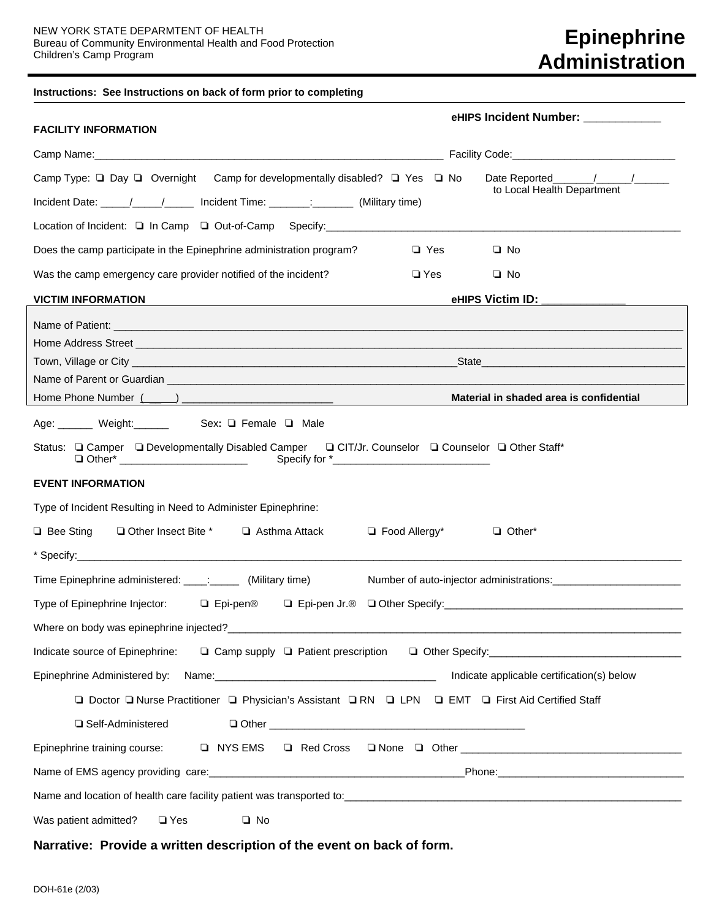## **Instructions: See Instructions on back of form prior to completing**

| <b>FACILITY INFORMATION</b>                                                                                                                                                                                                                                                            | eHIPS Incident Number: ___________              |
|----------------------------------------------------------------------------------------------------------------------------------------------------------------------------------------------------------------------------------------------------------------------------------------|-------------------------------------------------|
|                                                                                                                                                                                                                                                                                        |                                                 |
| Camp Type: $\Box$ Day $\Box$ Overnight Camp for developmentally disabled? $\Box$ Yes $\Box$ No<br>Incident Date: \____/ ____/______ Incident Time: \________: (Military time)                                                                                                          | Date Reported / /<br>to Local Health Department |
|                                                                                                                                                                                                                                                                                        |                                                 |
| Does the camp participate in the Epinephrine administration program?<br>□ Yes                                                                                                                                                                                                          | $\Box$ No                                       |
| Was the camp emergency care provider notified of the incident?<br>$\square$ Yes                                                                                                                                                                                                        | $\Box$ No                                       |
| <b>VICTIM INFORMATION</b>                                                                                                                                                                                                                                                              | eHIPS Victim ID: _____________                  |
| Name of Patient: <u>example and the contract of the contract of the contract of the contract of the contract of the contract of the contract of the contract of the contract of the contract of the contract of the contract of </u>                                                   |                                                 |
| Name of Parent or Guardian experience of the contract of the contract of the contract of the contract of the contract of the contract of the contract of the contract of the contract of the contract of the contract of the c                                                         | Material in shaded area is confidential         |
| Status: Q Camper Q Developmentally Disabled Camper Q CIT/Jr. Counselor Q Counselor Q Other Staff*<br><b>EVENT INFORMATION</b><br>Type of Incident Resulting in Need to Administer Epinephrine:<br>$\Box$ Bee Sting<br>□ Other Insect Bite *<br>$\Box$ Food Allergy*<br>□ Asthma Attack | □ Other*                                        |
| Time Epinephrine administered: ____: ______ (Military time)                                                                                                                                                                                                                            |                                                 |
| Where on body was epinephrine injected?                                                                                                                                                                                                                                                |                                                 |
| Indicate source of Epinephrine: $\Box$ Camp supply $\Box$ Patient prescription $\Box$ Other Specify:                                                                                                                                                                                   |                                                 |
|                                                                                                                                                                                                                                                                                        | Indicate applicable certification(s) below      |
| Doctor I Nurse Practitioner I Physician's Assistant I RN I LPN I EMT I First Aid Certified Staff                                                                                                                                                                                       |                                                 |
| □ Self-Administered                                                                                                                                                                                                                                                                    |                                                 |
| Epinephrine training course:                                                                                                                                                                                                                                                           |                                                 |
|                                                                                                                                                                                                                                                                                        |                                                 |
|                                                                                                                                                                                                                                                                                        |                                                 |
| Was patient admitted?<br>$\square$ Yes<br>$\square$ No                                                                                                                                                                                                                                 |                                                 |

## **Narrative: Provide a written description of the event on back of form.**